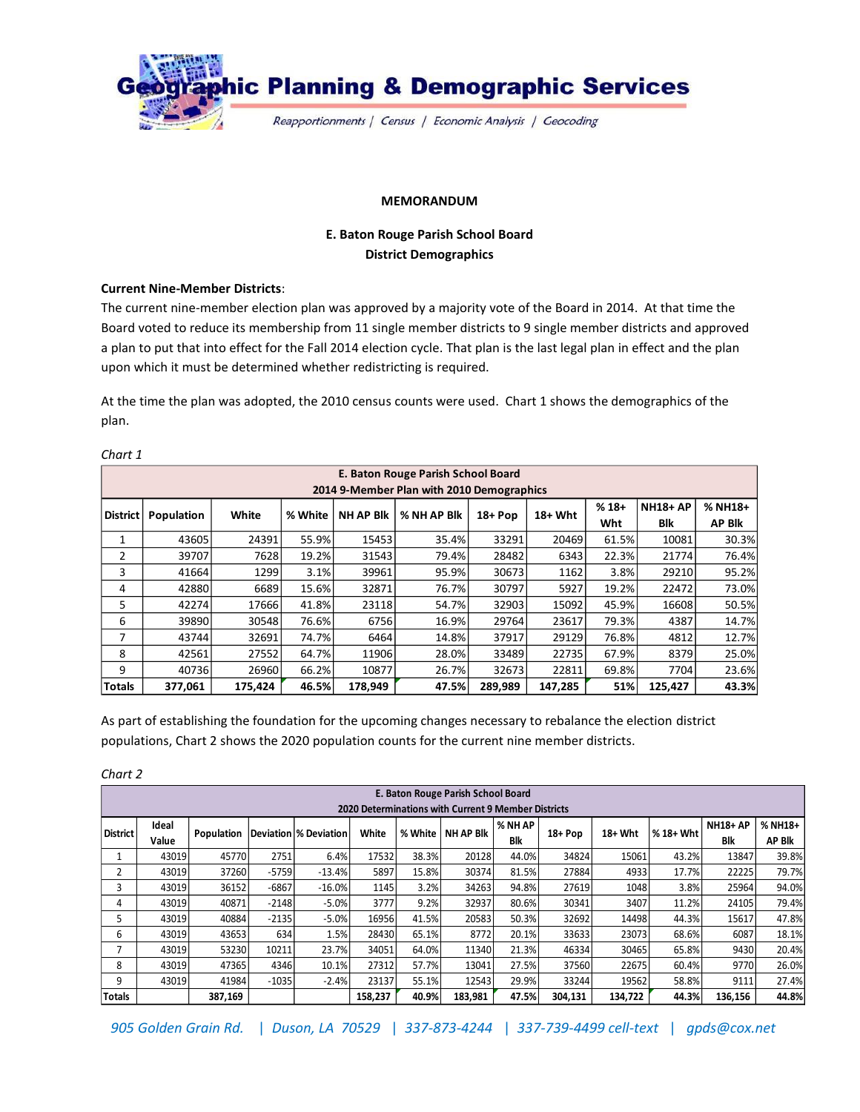

### **MEMORANDUM**

# **E. Baton Rouge Parish School Board District Demographics**

## **Current Nine-Member Districts**:

The current nine-member election plan was approved by a majority vote of the Board in 2014. At that time the Board voted to reduce its membership from 11 single member districts to 9 single member districts and approved a plan to put that into effect for the Fall 2014 election cycle. That plan is the last legal plan in effect and the plan upon which it must be determined whether redistricting is required.

At the time the plan was adopted, the 2010 census counts were used. Chart 1 shows the demographics of the plan.

|                                           | E. Baton Rouge Parish School Board |         |         |                  |             |          |         |        |                 |               |  |  |  |
|-------------------------------------------|------------------------------------|---------|---------|------------------|-------------|----------|---------|--------|-----------------|---------------|--|--|--|
| 2014 9-Member Plan with 2010 Demographics |                                    |         |         |                  |             |          |         |        |                 |               |  |  |  |
| District                                  | Population                         | White   | % White | <b>NH AP Blk</b> | % NH AP Blk | $18+Pop$ | 18+ Wht | $%18+$ | <b>NH18+ AP</b> | % NH18+       |  |  |  |
|                                           |                                    |         |         |                  |             |          |         | Wht    | Blk             | <b>AP Blk</b> |  |  |  |
| $\mathbf{1}$                              | 43605                              | 24391   | 55.9%   | 15453            | 35.4%       | 33291    | 20469   | 61.5%  | 10081           | 30.3%         |  |  |  |
| $\overline{2}$                            | 39707                              | 7628    | 19.2%   | 31543            | 79.4%       | 28482    | 6343    | 22.3%  | 21774           | 76.4%         |  |  |  |
| 3                                         | 41664                              | 1299    | 3.1%    | 39961            | 95.9%       | 30673    | 1162    | 3.8%   | 29210           | 95.2%         |  |  |  |
| 4                                         | 42880                              | 6689    | 15.6%   | 32871            | 76.7%       | 30797    | 5927    | 19.2%  | 22472           | 73.0%         |  |  |  |
| 5                                         | 42274                              | 17666   | 41.8%   | 23118            | 54.7%       | 32903    | 15092   | 45.9%  | 16608           | 50.5%         |  |  |  |
| 6                                         | 39890                              | 30548   | 76.6%   | 6756             | 16.9%       | 29764    | 23617   | 79.3%  | 4387            | 14.7%         |  |  |  |
| 7                                         | 43744                              | 32691   | 74.7%   | 6464             | 14.8%       | 37917    | 29129   | 76.8%  | 4812            | 12.7%         |  |  |  |
| 8                                         | 42561                              | 27552   | 64.7%   | 11906            | 28.0%       | 33489    | 22735   | 67.9%  | 8379            | 25.0%         |  |  |  |
| 9                                         | 40736                              | 26960   | 66.2%   | 10877            | 26.7%       | 32673    | 22811   | 69.8%  | 7704            | 23.6%         |  |  |  |
| <b>Totals</b>                             | 377,061                            | 175.424 | 46.5%   | 178,949          | 47.5%       | 289,989  | 147,285 | 51%    | 125,427         | 43.3%         |  |  |  |

# *Chart 1*

As part of establishing the foundation for the upcoming changes necessary to rebalance the election district populations, Chart 2 shows the 2020 population counts for the current nine member districts.

*Chart 2*

|                                                            | E. Baton Rouge Parish School Board |            |         |                       |         |         |                  |            |         |                        |           |                 |               |  |
|------------------------------------------------------------|------------------------------------|------------|---------|-----------------------|---------|---------|------------------|------------|---------|------------------------|-----------|-----------------|---------------|--|
| <b>2020 Determinations with Current 9 Member Districts</b> |                                    |            |         |                       |         |         |                  |            |         |                        |           |                 |               |  |
| <b>District</b>                                            | Ideal                              | Population |         | Deviation % Deviation | White   | % White | <b>NH AP Blk</b> | % NH AP    |         | $18+Wht$<br>$18 + Pop$ | % 18+ Wht | <b>NH18+ AP</b> | % NH18+       |  |
|                                                            | Value                              |            |         |                       |         |         |                  | <b>Blk</b> |         |                        |           | Blk             | <b>AP Blk</b> |  |
|                                                            | 43019                              | 45770      | 2751    | 6.4%                  | 17532   | 38.3%   | 20128            | 44.0%      | 34824   | 15061                  | 43.2%     | 13847           | 39.8%         |  |
| 2                                                          | 43019                              | 37260      | $-5759$ | $-13.4%$              | 5897    | 15.8%   | 30374            | 81.5%      | 27884   | 4933                   | 17.7%     | 22225           | 79.7%         |  |
| 3                                                          | 43019                              | 36152      | $-6867$ | $-16.0%$              | 1145    | 3.2%    | 34263            | 94.8%      | 27619   | 1048                   | 3.8%      | 25964           | 94.0%         |  |
| 4                                                          | 43019                              | 40871      | $-2148$ | $-5.0%$               | 3777    | 9.2%    | 32937            | 80.6%      | 30341   | 3407                   | 11.2%     | 24105           | 79.4%         |  |
| 5.                                                         | 43019                              | 40884      | $-2135$ | $-5.0%$               | 16956   | 41.5%   | 20583            | 50.3%      | 32692   | 14498                  | 44.3%     | 15617           | 47.8%         |  |
| 6                                                          | 43019                              | 43653      | 634     | 1.5%                  | 28430   | 65.1%   | 8772             | 20.1%      | 33633   | 23073                  | 68.6%     | 6087            | 18.1%         |  |
|                                                            | 43019                              | 53230      | 10211   | 23.7%                 | 34051   | 64.0%   | 11340            | 21.3%      | 46334   | 30465                  | 65.8%     | 9430            | 20.4%         |  |
| 8                                                          | 43019                              | 47365      | 4346    | 10.1%                 | 27312   | 57.7%   | 13041            | 27.5%      | 37560   | 22675                  | 60.4%     | 9770            | 26.0%         |  |
| 9                                                          | 43019                              | 41984      | $-1035$ | $-2.4%$               | 23137   | 55.1%   | 12543            | 29.9%      | 33244   | 19562                  | 58.8%     | 9111            | 27.4%         |  |
| <b>Totals</b>                                              |                                    | 387.169    |         |                       | 158.237 | 40.9%   | 183.981          | 47.5%      | 304.131 | 134,722                | 44.3%     | 136,156         | 44.8%         |  |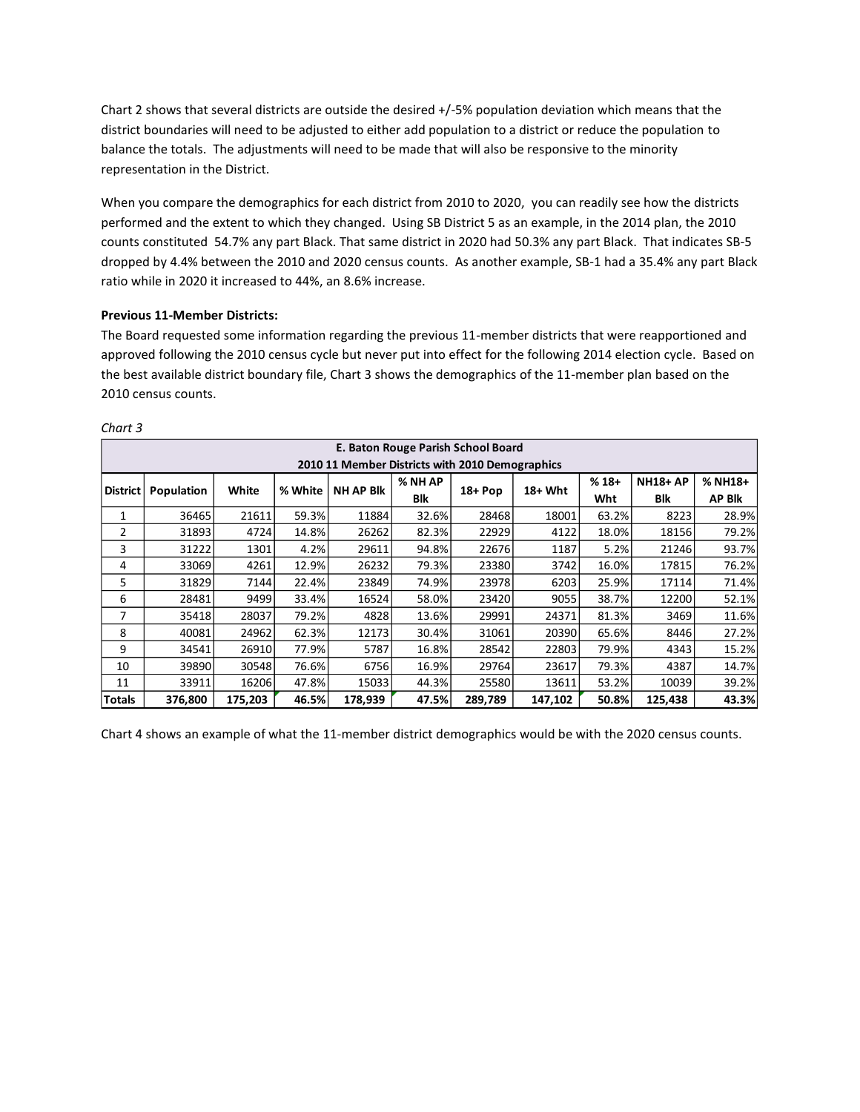Chart 2 shows that several districts are outside the desired +/-5% population deviation which means that the district boundaries will need to be adjusted to either add population to a district or reduce the population to balance the totals. The adjustments will need to be made that will also be responsive to the minority representation in the District.

When you compare the demographics for each district from 2010 to 2020, you can readily see how the districts performed and the extent to which they changed. Using SB District 5 as an example, in the 2014 plan, the 2010 counts constituted 54.7% any part Black. That same district in 2020 had 50.3% any part Black. That indicates SB-5 dropped by 4.4% between the 2010 and 2020 census counts. As another example, SB-1 had a 35.4% any part Black ratio while in 2020 it increased to 44%, an 8.6% increase.

# **Previous 11-Member Districts:**

The Board requested some information regarding the previous 11-member districts that were reapportioned and approved following the 2010 census cycle but never put into effect for the following 2014 election cycle. Based on the best available district boundary file, Chart 3 shows the demographics of the 11-member plan based on the 2010 census counts.

|                                                 | E. Baton Rouge Parish School Board |         |         |                  |         |            |          |        |                 |               |  |  |
|-------------------------------------------------|------------------------------------|---------|---------|------------------|---------|------------|----------|--------|-----------------|---------------|--|--|
| 2010 11 Member Districts with 2010 Demographics |                                    |         |         |                  |         |            |          |        |                 |               |  |  |
| <b>District</b>                                 | Population                         | White   | % White | <b>NH AP BIK</b> | % NH AP | $18 + Pop$ | $18+Wht$ | $%18+$ | <b>NH18+ AP</b> | $%$ NH18+     |  |  |
|                                                 |                                    |         |         |                  | Blk     |            |          | Wht    | Blk             | <b>AP Blk</b> |  |  |
| 1                                               | 36465                              | 21611   | 59.3%   | 11884            | 32.6%   | 28468      | 18001    | 63.2%  | 8223            | 28.9%         |  |  |
| 2                                               | 31893                              | 4724    | 14.8%   | 26262            | 82.3%   | 22929      | 4122     | 18.0%  | 18156           | 79.2%         |  |  |
| 3                                               | 31222                              | 1301    | 4.2%    | 29611            | 94.8%   | 22676      | 1187     | 5.2%   | 21246           | 93.7%         |  |  |
| 4                                               | 33069                              | 4261    | 12.9%   | 26232            | 79.3%   | 23380      | 3742     | 16.0%  | 17815           | 76.2%         |  |  |
| 5                                               | 31829                              | 7144    | 22.4%   | 23849            | 74.9%   | 23978      | 6203     | 25.9%  | 17114           | 71.4%         |  |  |
| 6                                               | 28481                              | 9499    | 33.4%   | 16524            | 58.0%   | 23420      | 9055     | 38.7%  | 12200           | 52.1%         |  |  |
| 7                                               | 35418                              | 28037   | 79.2%   | 4828             | 13.6%   | 29991      | 24371    | 81.3%  | 3469            | 11.6%         |  |  |
| 8                                               | 40081                              | 24962   | 62.3%   | 12173            | 30.4%   | 31061      | 20390    | 65.6%  | 8446            | 27.2%         |  |  |
| 9                                               | 34541                              | 26910   | 77.9%   | 5787             | 16.8%   | 28542      | 22803    | 79.9%  | 4343            | 15.2%         |  |  |
| 10                                              | 39890                              | 30548   | 76.6%   | 6756             | 16.9%   | 29764      | 23617    | 79.3%  | 4387            | 14.7%         |  |  |
| 11                                              | 33911                              | 16206   | 47.8%   | 15033            | 44.3%   | 25580      | 13611    | 53.2%  | 10039           | 39.2%         |  |  |
| Totals                                          | 376,800                            | 175,203 | 46.5%   | 178,939          | 47.5%   | 289,789    | 147,102  | 50.8%  | 125,438         | 43.3%         |  |  |

#### *Chart 3*

Chart 4 shows an example of what the 11-member district demographics would be with the 2020 census counts.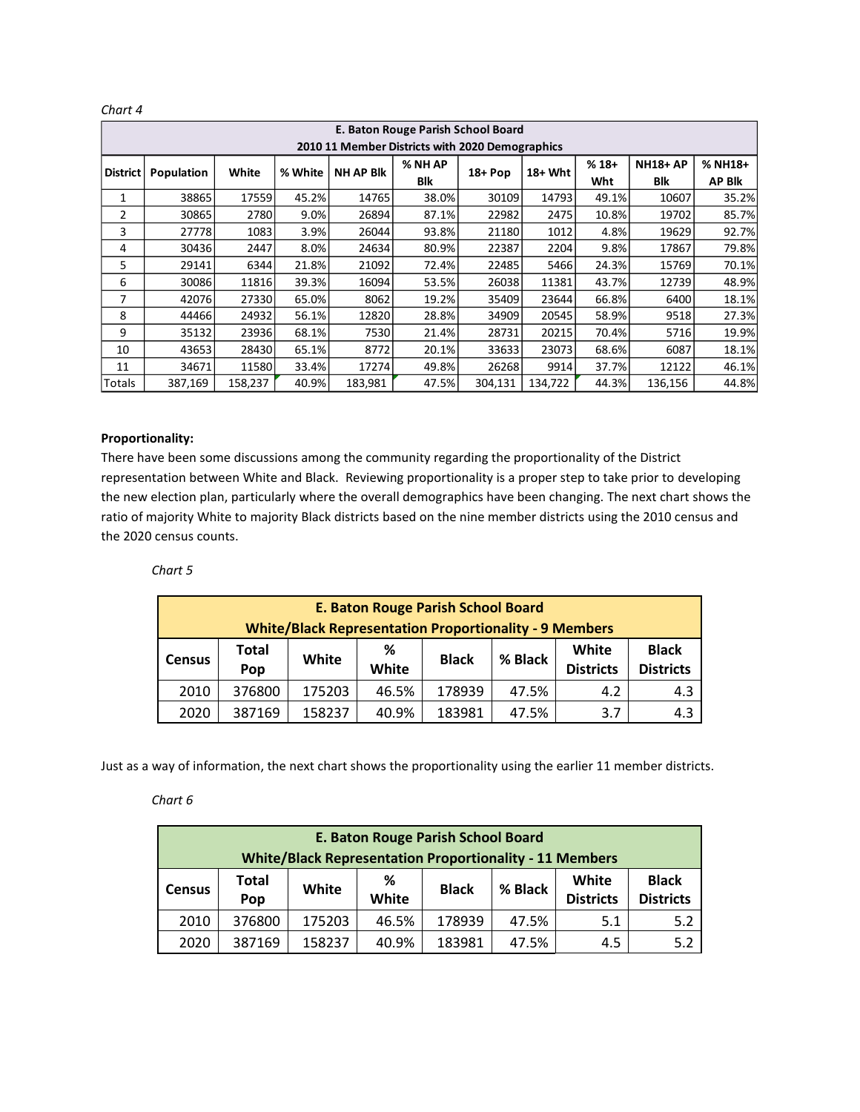| E. Baton Rouge Parish School Board              |            |         |         |                  |         |          |          |        |                 |               |  |  |
|-------------------------------------------------|------------|---------|---------|------------------|---------|----------|----------|--------|-----------------|---------------|--|--|
| 2010 11 Member Districts with 2020 Demographics |            |         |         |                  |         |          |          |        |                 |               |  |  |
| <b>District</b>                                 | Population | White   | % White |                  | % NH AP |          |          | $%18+$ | <b>NH18+ AP</b> | $%$ NH18+     |  |  |
|                                                 |            |         |         | <b>NH AP BIK</b> | Blk     | $18+Pop$ | $18+Wht$ | Wht    | Blk             | <b>AP Blk</b> |  |  |
| 1                                               | 38865      | 17559   | 45.2%   | 14765            | 38.0%   | 30109    | 14793    | 49.1%  | 10607           | 35.2%         |  |  |
| $\overline{2}$                                  | 30865      | 2780    | 9.0%    | 26894            | 87.1%   | 22982    | 2475     | 10.8%  | 19702           | 85.7%         |  |  |
| 3                                               | 27778      | 1083    | 3.9%    | 26044            | 93.8%   | 21180    | 1012     | 4.8%   | 19629           | 92.7%         |  |  |
| 4                                               | 30436      | 2447    | 8.0%    | 24634            | 80.9%   | 22387    | 2204     | 9.8%   | 17867           | 79.8%         |  |  |
| 5                                               | 29141      | 6344    | 21.8%   | 21092            | 72.4%   | 22485    | 5466     | 24.3%  | 15769           | 70.1%         |  |  |
| 6                                               | 30086      | 11816   | 39.3%   | 16094            | 53.5%   | 26038    | 11381    | 43.7%  | 12739           | 48.9%         |  |  |
| 7                                               | 42076      | 27330   | 65.0%   | 8062             | 19.2%   | 35409    | 23644    | 66.8%  | 6400            | 18.1%         |  |  |
| 8                                               | 44466      | 24932   | 56.1%   | 12820            | 28.8%   | 34909    | 20545    | 58.9%  | 9518            | 27.3%         |  |  |
| 9                                               | 35132      | 23936   | 68.1%   | 7530             | 21.4%   | 28731    | 20215    | 70.4%  | 5716            | 19.9%         |  |  |
| 10                                              | 43653      | 28430   | 65.1%   | 8772             | 20.1%   | 33633    | 23073    | 68.6%  | 6087            | 18.1%         |  |  |
| 11                                              | 34671      | 11580   | 33.4%   | 17274            | 49.8%   | 26268    | 9914     | 37.7%  | 12122           | 46.1%         |  |  |
| Totals                                          | 387,169    | 158,237 | 40.9%   | 183,981          | 47.5%   | 304,131  | 134,722  | 44.3%  | 136,156         | 44.8%         |  |  |

*Chart 4*

### **Proportionality:**

There have been some discussions among the community regarding the proportionality of the District representation between White and Black. Reviewing proportionality is a proper step to take prior to developing the new election plan, particularly where the overall demographics have been changing. The next chart shows the ratio of majority White to majority Black districts based on the nine member districts using the 2010 census and the 2020 census counts.

### *Chart 5*

|                                                               | <b>E. Baton Rouge Parish School Board</b> |        |            |              |         |                           |                                  |  |  |  |  |
|---------------------------------------------------------------|-------------------------------------------|--------|------------|--------------|---------|---------------------------|----------------------------------|--|--|--|--|
| <b>White/Black Representation Proportionality - 9 Members</b> |                                           |        |            |              |         |                           |                                  |  |  |  |  |
| <b>Census</b>                                                 | <b>Total</b><br>Pop                       | White  | %<br>White | <b>Black</b> | % Black | White<br><b>Districts</b> | <b>Black</b><br><b>Districts</b> |  |  |  |  |
| 2010                                                          | 376800                                    | 175203 | 46.5%      | 178939       | 47.5%   | 4.2                       | 4.3                              |  |  |  |  |
| 2020                                                          | 387169                                    | 158237 | 40.9%      | 183981       | 47.5%   | 3.7                       | 4.3                              |  |  |  |  |

Just as a way of information, the next chart shows the proportionality using the earlier 11 member districts.

#### *Chart 6*

| E. Baton Rouge Parish School Board                             |              |        |       |              |         |                  |                  |  |  |  |  |
|----------------------------------------------------------------|--------------|--------|-------|--------------|---------|------------------|------------------|--|--|--|--|
| <b>White/Black Representation Proportionality - 11 Members</b> |              |        |       |              |         |                  |                  |  |  |  |  |
| <b>Census</b>                                                  | <b>Total</b> | White  | %     | <b>Black</b> | % Black | White            | <b>Black</b>     |  |  |  |  |
|                                                                | Pop          |        | White |              |         | <b>Districts</b> | <b>Districts</b> |  |  |  |  |
| 2010                                                           | 376800       | 175203 | 46.5% | 178939       | 47.5%   | 5.1              | 5.2              |  |  |  |  |
| 2020                                                           | 387169       | 158237 | 40.9% | 183981       | 47.5%   | 4.5              | 5.2              |  |  |  |  |